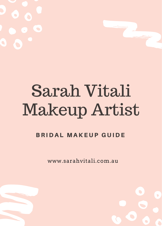# Sarah Vitali Makeup Artist

#### **BRIDAL MAKEUP GUIDE**

www.sarahvitali.com.au



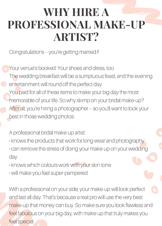#### **WHY HIRE A PROFESSIONAL MAKE-UP ARTIST?**

Congratulations – you're getting married.!!

Your venue's booked. Your shoes and dress, too.

The wedding breakfast will be a sumptuous feast, and the evening entertainment will round off the perfect day.

You paid for all of these items to make your big day the most memorable of your life. So why skimp on your bridal make-up? After all, you're hiring a photographer - so you'll want to look your best in those wedding photos.

A professional bridal make-up artist:

- knows the products that work for long wear and photography
- can remove the stress of doing your make-up on your wedding day
- knows which colours work with your skin tone
- will make you feel super-pampered.

With a professional on your side, your make-up will look perfect and last all day. That's because a real pro will use the very best make-up that money can buy. So make sure you look flawless and feel fabulous on your big day, with make-up that truly makes you feel special.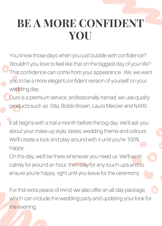## **BE A MORE CONFIDENT YOU**

You know those days when you just bubble with confidence? Wouldn't you love to feel like that on the biggest day of your life? That confidence can come from your appearance.. We, we want you to be a more elegant,confident version of yourself on your wedding day.

Ours is a premium service. professionally trained, we use quality products such as Stila, Bobbi Brown, Laura Mercier and NARS

It all begins with a trial a month before the big day. We'll ask you about your make-up style, tastes, wedding theme and colours. We'll create a look and play around with it until you're 100% happy.

On the day, we'll be there whenever you need us. We'll work calmly for around an hour, then stay for any touch-ups and to ensure you're happy, right until you leave for the ceremony.

For that extra peace of mind, we also offer an all-day package, which can include the wedding party and updating your look for the evening.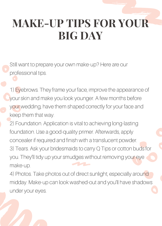## **MAKE-UP TIPS FOR YOUR BIG DAY**

- Still want to prepare your own make-up? Here are our professional tips.
- 1) Eyebrows. They frame your face, improve the appearance of your skin and make you look younger. A few months before your wedding, have them shaped correctly for your face and keep them that way.
- 2) Foundation. Application is vital to achieving long-lasting foundation. Use a good-quality primer. Afterwards, apply concealer if required and finish with a translucent powder. 3) Tears. Ask your bridesmaids to carry Q Tips or cotton buds for you. They'll tidy up your smudges without removing your eye make-up.
- 4) Photos. Take photos out of direct sunlight, especially around midday. Make-up can look washed-out and you'll have shadows under your eyes.